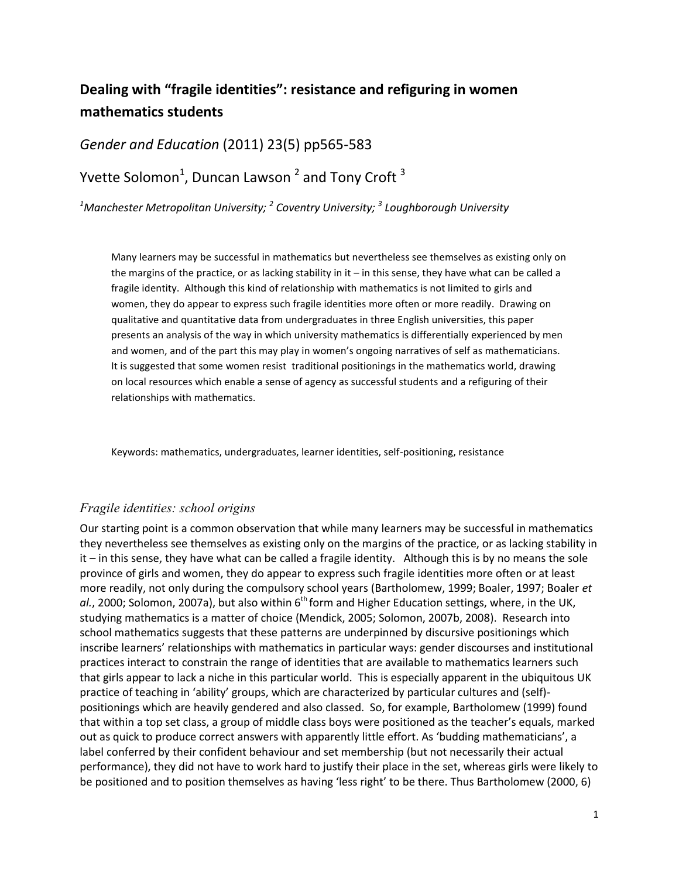# **Dealing with "fragile identities": resistance and refiguring in women mathematics students**

*Gender and Education* (2011) 23(5) pp565-583

Yvette Solomon<sup>1</sup>, Duncan Lawson  $^2$  and Tony Croft  $^3$ 

*<sup>1</sup>Manchester Metropolitan University; <sup>2</sup> Coventry University; <sup>3</sup> Loughborough University*

Many learners may be successful in mathematics but nevertheless see themselves as existing only on the margins of the practice, or as lacking stability in it – in this sense, they have what can be called a fragile identity. Although this kind of relationship with mathematics is not limited to girls and women, they do appear to express such fragile identities more often or more readily. Drawing on qualitative and quantitative data from undergraduates in three English universities, this paper presents an analysis of the way in which university mathematics is differentially experienced by men and women, and of the part this may play in women's ongoing narratives of self as mathematicians. It is suggested that some women resist traditional positionings in the mathematics world, drawing on local resources which enable a sense of agency as successful students and a refiguring of their relationships with mathematics.

Keywords: mathematics, undergraduates, learner identities, self-positioning, resistance

## *Fragile identities: school origins*

Our starting point is a common observation that while many learners may be successful in mathematics they nevertheless see themselves as existing only on the margins of the practice, or as lacking stability in it – in this sense, they have what can be called a fragile identity. Although this is by no means the sole province of girls and women, they do appear to express such fragile identities more often or at least more readily, not only during the compulsory school years (Bartholomew, 1999; Boaler, 1997; Boaler *et*   $al.$ , 2000; Solomon, 2007a), but also within  $6<sup>th</sup>$  form and Higher Education settings, where, in the UK, studying mathematics is a matter of choice (Mendick, 2005; Solomon, 2007b, 2008). Research into school mathematics suggests that these patterns are underpinned by discursive positionings which inscribe learners' relationships with mathematics in particular ways: gender discourses and institutional practices interact to constrain the range of identities that are available to mathematics learners such that girls appear to lack a niche in this particular world. This is especially apparent in the ubiquitous UK practice of teaching in 'ability' groups, which are characterized by particular cultures and (self) positionings which are heavily gendered and also classed. So, for example, Bartholomew (1999) found that within a top set class, a group of middle class boys were positioned as the teacher's equals, marked out as quick to produce correct answers with apparently little effort. As 'budding mathematicians', a label conferred by their confident behaviour and set membership (but not necessarily their actual performance), they did not have to work hard to justify their place in the set, whereas girls were likely to be positioned and to position themselves as having 'less right' to be there. Thus Bartholomew (2000, 6)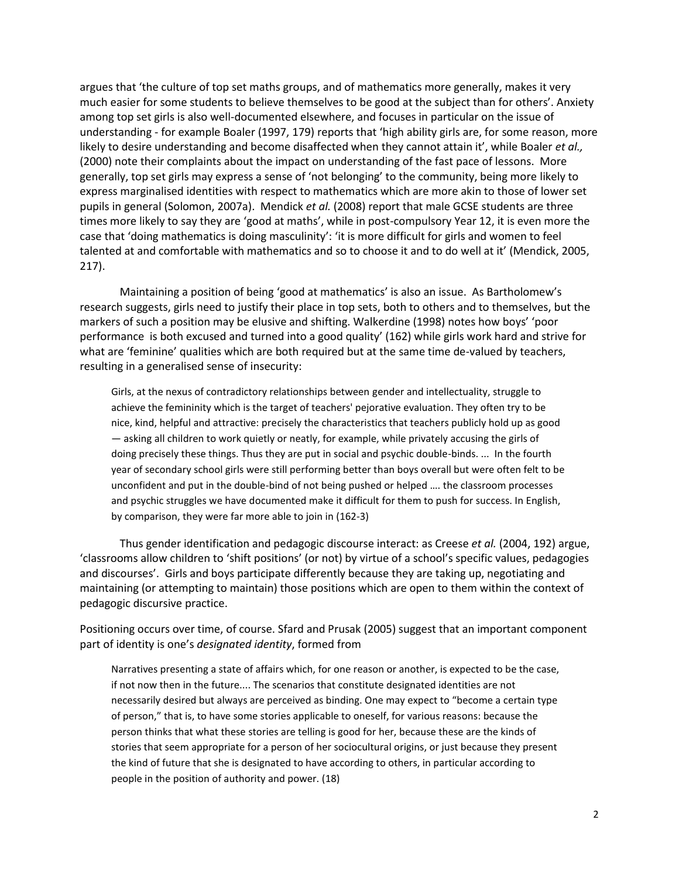argues that 'the culture of top set maths groups, and of mathematics more generally, makes it very much easier for some students to believe themselves to be good at the subject than for others'. Anxiety among top set girls is also well-documented elsewhere, and focuses in particular on the issue of understanding - for example Boaler (1997, 179) reports that 'high ability girls are, for some reason, more likely to desire understanding and become disaffected when they cannot attain it', while Boaler *et al.,* (2000) note their complaints about the impact on understanding of the fast pace of lessons. More generally, top set girls may express a sense of 'not belonging' to the community, being more likely to express marginalised identities with respect to mathematics which are more akin to those of lower set pupils in general (Solomon, 2007a). Mendick *et al.* (2008) report that male GCSE students are three times more likely to say they are 'good at maths', while in post-compulsory Year 12, it is even more the case that 'doing mathematics is doing masculinity': 'it is more difficult for girls and women to feel talented at and comfortable with mathematics and so to choose it and to do well at it' (Mendick, 2005, 217).

Maintaining a position of being 'good at mathematics' is also an issue. As Bartholomew's research suggests, girls need to justify their place in top sets, both to others and to themselves, but the markers of such a position may be elusive and shifting. Walkerdine (1998) notes how boys' 'poor performance is both excused and turned into a good quality' (162) while girls work hard and strive for what are 'feminine' qualities which are both required but at the same time de-valued by teachers, resulting in a generalised sense of insecurity:

Girls, at the nexus of contradictory relationships between gender and intellectuality, struggle to achieve the femininity which is the target of teachers' pejorative evaluation. They often try to be nice, kind, helpful and attractive: precisely the characteristics that teachers publicly hold up as good — asking all children to work quietly or neatly, for example, while privately accusing the girls of doing precisely these things. Thus they are put in social and psychic double-binds. ... In the fourth year of secondary school girls were still performing better than boys overall but were often felt to be unconfident and put in the double-bind of not being pushed or helped …. the classroom processes and psychic struggles we have documented make it difficult for them to push for success. In English, by comparison, they were far more able to join in (162-3)

Thus gender identification and pedagogic discourse interact: as Creese *et al.* (2004, 192) argue, 'classrooms allow children to 'shift positions' (or not) by virtue of a school's specific values, pedagogies and discourses'. Girls and boys participate differently because they are taking up, negotiating and maintaining (or attempting to maintain) those positions which are open to them within the context of pedagogic discursive practice.

Positioning occurs over time, of course. Sfard and Prusak (2005) suggest that an important component part of identity is one's *designated identity*, formed from

Narratives presenting a state of affairs which, for one reason or another, is expected to be the case, if not now then in the future.... The scenarios that constitute designated identities are not necessarily desired but always are perceived as binding. One may expect to "become a certain type of person," that is, to have some stories applicable to oneself, for various reasons: because the person thinks that what these stories are telling is good for her, because these are the kinds of stories that seem appropriate for a person of her sociocultural origins, or just because they present the kind of future that she is designated to have according to others, in particular according to people in the position of authority and power. (18)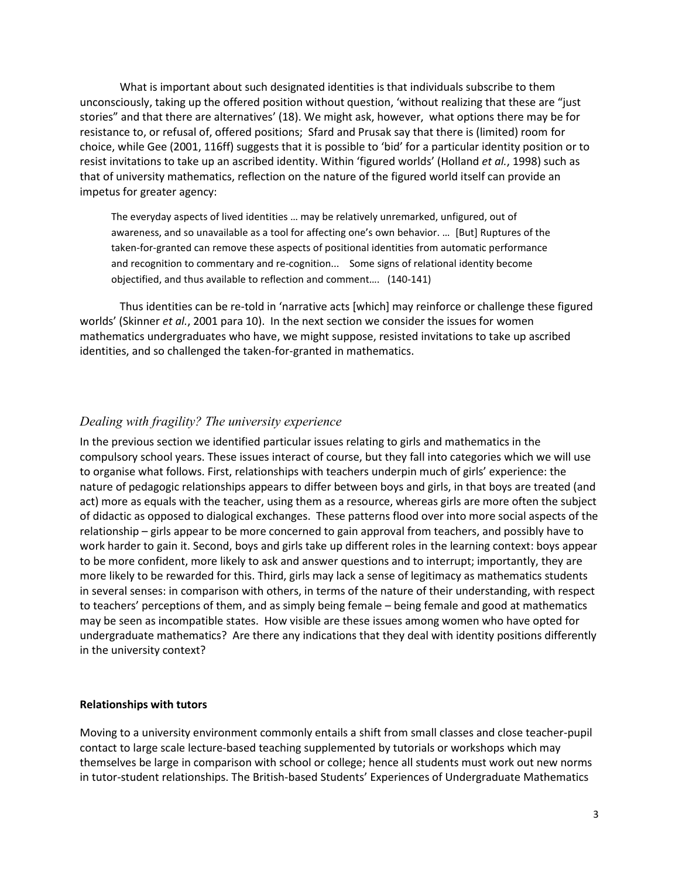What is important about such designated identities is that individuals subscribe to them unconsciously, taking up the offered position without question, 'without realizing that these are "just stories" and that there are alternatives' (18). We might ask, however, what options there may be for resistance to, or refusal of, offered positions; Sfard and Prusak say that there is (limited) room for choice, while Gee (2001, 116ff) suggests that it is possible to 'bid' for a particular identity position or to resist invitations to take up an ascribed identity. Within 'figured worlds' (Holland *et al.*, 1998) such as that of university mathematics, reflection on the nature of the figured world itself can provide an impetus for greater agency:

The everyday aspects of lived identities … may be relatively unremarked, unfigured, out of awareness, and so unavailable as a tool for affecting one's own behavior. … [But] Ruptures of the taken-for-granted can remove these aspects of positional identities from automatic performance and recognition to commentary and re-cognition... Some signs of relational identity become objectified, and thus available to reflection and comment…. (140-141)

Thus identities can be re-told in 'narrative acts [which] may reinforce or challenge these figured worlds' (Skinner *et al.*, 2001 para 10). In the next section we consider the issues for women mathematics undergraduates who have, we might suppose, resisted invitations to take up ascribed identities, and so challenged the taken-for-granted in mathematics.

# *Dealing with fragility? The university experience*

In the previous section we identified particular issues relating to girls and mathematics in the compulsory school years. These issues interact of course, but they fall into categories which we will use to organise what follows. First, relationships with teachers underpin much of girls' experience: the nature of pedagogic relationships appears to differ between boys and girls, in that boys are treated (and act) more as equals with the teacher, using them as a resource, whereas girls are more often the subject of didactic as opposed to dialogical exchanges. These patterns flood over into more social aspects of the relationship – girls appear to be more concerned to gain approval from teachers, and possibly have to work harder to gain it. Second, boys and girls take up different roles in the learning context: boys appear to be more confident, more likely to ask and answer questions and to interrupt; importantly, they are more likely to be rewarded for this. Third, girls may lack a sense of legitimacy as mathematics students in several senses: in comparison with others, in terms of the nature of their understanding, with respect to teachers' perceptions of them, and as simply being female – being female and good at mathematics may be seen as incompatible states. How visible are these issues among women who have opted for undergraduate mathematics? Are there any indications that they deal with identity positions differently in the university context?

#### **Relationships with tutors**

Moving to a university environment commonly entails a shift from small classes and close teacher-pupil contact to large scale lecture-based teaching supplemented by tutorials or workshops which may themselves be large in comparison with school or college; hence all students must work out new norms in tutor-student relationships. The British-based Students' Experiences of Undergraduate Mathematics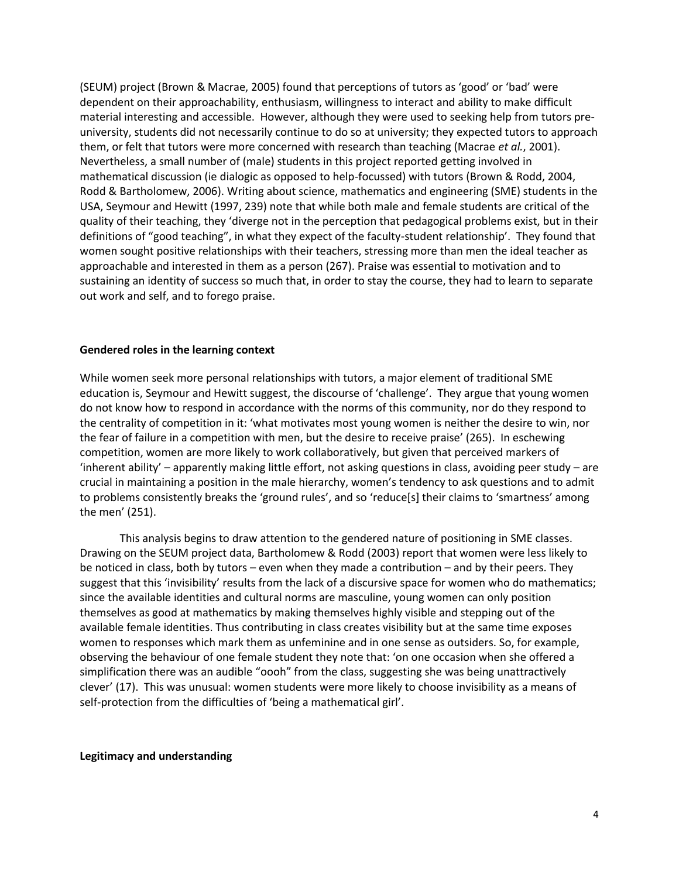(SEUM) project (Brown & Macrae, 2005) found that perceptions of tutors as 'good' or 'bad' were dependent on their approachability, enthusiasm, willingness to interact and ability to make difficult material interesting and accessible. However, although they were used to seeking help from tutors preuniversity, students did not necessarily continue to do so at university; they expected tutors to approach them, or felt that tutors were more concerned with research than teaching (Macrae *et al.*, 2001). Nevertheless, a small number of (male) students in this project reported getting involved in mathematical discussion (ie dialogic as opposed to help-focussed) with tutors (Brown & Rodd, 2004, Rodd & Bartholomew, 2006). Writing about science, mathematics and engineering (SME) students in the USA, Seymour and Hewitt (1997, 239) note that while both male and female students are critical of the quality of their teaching, they 'diverge not in the perception that pedagogical problems exist, but in their definitions of "good teaching", in what they expect of the faculty-student relationship'. They found that women sought positive relationships with their teachers, stressing more than men the ideal teacher as approachable and interested in them as a person (267). Praise was essential to motivation and to sustaining an identity of success so much that, in order to stay the course, they had to learn to separate out work and self, and to forego praise.

#### **Gendered roles in the learning context**

While women seek more personal relationships with tutors, a major element of traditional SME education is, Seymour and Hewitt suggest, the discourse of 'challenge'. They argue that young women do not know how to respond in accordance with the norms of this community, nor do they respond to the centrality of competition in it: 'what motivates most young women is neither the desire to win, nor the fear of failure in a competition with men, but the desire to receive praise' (265). In eschewing competition, women are more likely to work collaboratively, but given that perceived markers of 'inherent ability' – apparently making little effort, not asking questions in class, avoiding peer study – are crucial in maintaining a position in the male hierarchy, women's tendency to ask questions and to admit to problems consistently breaks the 'ground rules', and so 'reduce[s] their claims to 'smartness' among the men' (251).

This analysis begins to draw attention to the gendered nature of positioning in SME classes. Drawing on the SEUM project data, Bartholomew & Rodd (2003) report that women were less likely to be noticed in class, both by tutors – even when they made a contribution – and by their peers. They suggest that this 'invisibility' results from the lack of a discursive space for women who do mathematics; since the available identities and cultural norms are masculine, young women can only position themselves as good at mathematics by making themselves highly visible and stepping out of the available female identities. Thus contributing in class creates visibility but at the same time exposes women to responses which mark them as unfeminine and in one sense as outsiders. So, for example, observing the behaviour of one female student they note that: 'on one occasion when she offered a simplification there was an audible "oooh" from the class, suggesting she was being unattractively clever' (17). This was unusual: women students were more likely to choose invisibility as a means of self-protection from the difficulties of 'being a mathematical girl'.

**Legitimacy and understanding**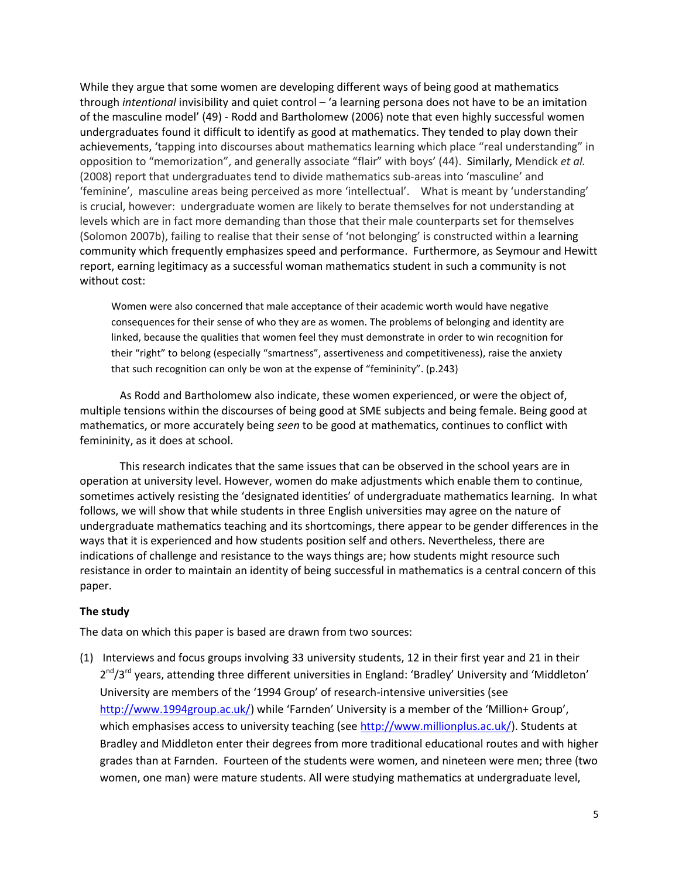While they argue that some women are developing different ways of being good at mathematics through *intentional* invisibility and quiet control – 'a learning persona does not have to be an imitation of the masculine model' (49) - Rodd and Bartholomew (2006) note that even highly successful women undergraduates found it difficult to identify as good at mathematics. They tended to play down their achievements, 'tapping into discourses about mathematics learning which place "real understanding" in opposition to "memorization", and generally associate "flair" with boys' (44). Similarly, Mendick *et al.* (2008) report that undergraduates tend to divide mathematics sub-areas into 'masculine' and 'feminine', masculine areas being perceived as more 'intellectual'. What is meant by 'understanding' is crucial, however: undergraduate women are likely to berate themselves for not understanding at levels which are in fact more demanding than those that their male counterparts set for themselves (Solomon 2007b), failing to realise that their sense of 'not belonging' is constructed within a learning community which frequently emphasizes speed and performance. Furthermore, as Seymour and Hewitt report, earning legitimacy as a successful woman mathematics student in such a community is not without cost:

Women were also concerned that male acceptance of their academic worth would have negative consequences for their sense of who they are as women. The problems of belonging and identity are linked, because the qualities that women feel they must demonstrate in order to win recognition for their "right" to belong (especially "smartness", assertiveness and competitiveness), raise the anxiety that such recognition can only be won at the expense of "femininity". (p.243)

As Rodd and Bartholomew also indicate, these women experienced, or were the object of, multiple tensions within the discourses of being good at SME subjects and being female. Being good at mathematics, or more accurately being *seen* to be good at mathematics, continues to conflict with femininity, as it does at school.

This research indicates that the same issues that can be observed in the school years are in operation at university level. However, women do make adjustments which enable them to continue, sometimes actively resisting the 'designated identities' of undergraduate mathematics learning. In what follows, we will show that while students in three English universities may agree on the nature of undergraduate mathematics teaching and its shortcomings, there appear to be gender differences in the ways that it is experienced and how students position self and others. Nevertheless, there are indications of challenge and resistance to the ways things are; how students might resource such resistance in order to maintain an identity of being successful in mathematics is a central concern of this paper.

# **The study**

The data on which this paper is based are drawn from two sources:

(1) Interviews and focus groups involving 33 university students, 12 in their first year and 21 in their 2<sup>nd</sup>/3<sup>rd</sup> years, attending three different universities in England: 'Bradley' University and 'Middleton' University are members of the '1994 Group' of research-intensive universities (see <http://www.1994group.ac.uk/>) while 'Farnden' University is a member of the 'Million+ Group', which emphasises access to university teaching (see [http://www.millionplus.ac.uk/\)](http://www.millionplus.ac.uk/). Students at Bradley and Middleton enter their degrees from more traditional educational routes and with higher grades than at Farnden. Fourteen of the students were women, and nineteen were men; three (two women, one man) were mature students. All were studying mathematics at undergraduate level,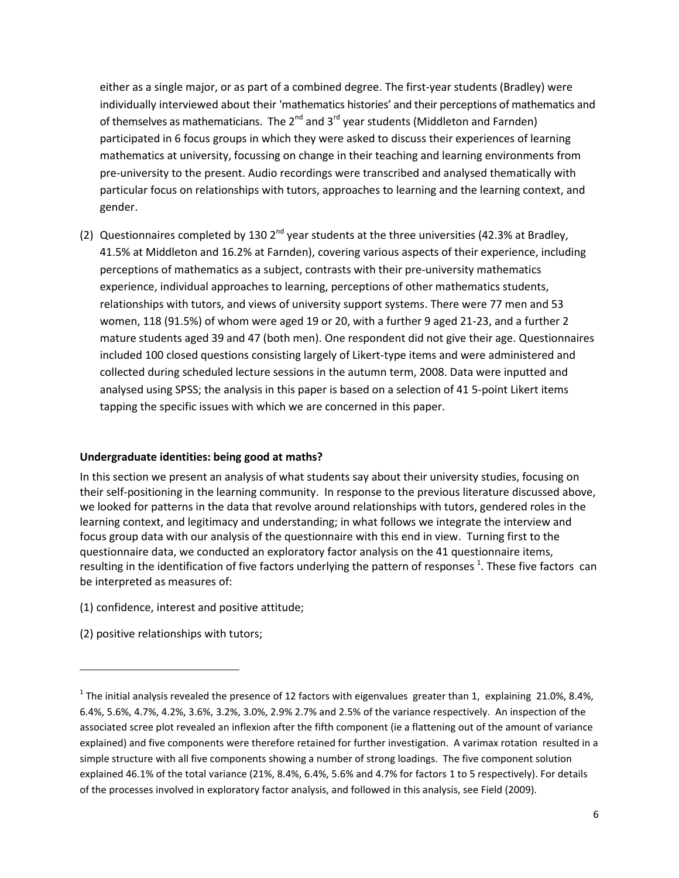either as a single major, or as part of a combined degree. The first-year students (Bradley) were individually interviewed about their 'mathematics histories' and their perceptions of mathematics and of themselves as mathematicians. The 2<sup>nd</sup> and 3<sup>rd</sup> year students (Middleton and Farnden) participated in 6 focus groups in which they were asked to discuss their experiences of learning mathematics at university, focussing on change in their teaching and learning environments from pre-university to the present. Audio recordings were transcribed and analysed thematically with particular focus on relationships with tutors, approaches to learning and the learning context, and gender.

(2) Questionnaires completed by 130  $2^{nd}$  year students at the three universities (42.3% at Bradley, 41.5% at Middleton and 16.2% at Farnden), covering various aspects of their experience, including perceptions of mathematics as a subject, contrasts with their pre-university mathematics experience, individual approaches to learning, perceptions of other mathematics students, relationships with tutors, and views of university support systems. There were 77 men and 53 women, 118 (91.5%) of whom were aged 19 or 20, with a further 9 aged 21-23, and a further 2 mature students aged 39 and 47 (both men). One respondent did not give their age. Questionnaires included 100 closed questions consisting largely of Likert-type items and were administered and collected during scheduled lecture sessions in the autumn term, 2008. Data were inputted and analysed using SPSS; the analysis in this paper is based on a selection of 41 5-point Likert items tapping the specific issues with which we are concerned in this paper.

# **Undergraduate identities: being good at maths?**

In this section we present an analysis of what students say about their university studies, focusing on their self-positioning in the learning community. In response to the previous literature discussed above, we looked for patterns in the data that revolve around relationships with tutors, gendered roles in the learning context, and legitimacy and understanding; in what follows we integrate the interview and focus group data with our analysis of the questionnaire with this end in view. Turning first to the questionnaire data, we conducted an exploratory factor analysis on the 41 questionnaire items, resulting in the identification of five factors underlying the pattern of responses  $^{1}$ . These five factors can be interpreted as measures of:

- (1) confidence, interest and positive attitude;
- (2) positive relationships with tutors;

 $\overline{\phantom{a}}$ 

<sup>&</sup>lt;sup>1</sup> The initial analysis revealed the presence of 12 factors with eigenvalues greater than 1, explaining 21.0%, 8.4%, 6.4%, 5.6%, 4.7%, 4.2%, 3.6%, 3.2%, 3.0%, 2.9% 2.7% and 2.5% of the variance respectively. An inspection of the associated scree plot revealed an inflexion after the fifth component (ie a flattening out of the amount of variance explained) and five components were therefore retained for further investigation. A varimax rotation resulted in a simple structure with all five components showing a number of strong loadings. The five component solution explained 46.1% of the total variance (21%, 8.4%, 6.4%, 5.6% and 4.7% for factors 1 to 5 respectively). For details of the processes involved in exploratory factor analysis, and followed in this analysis, see Field (2009).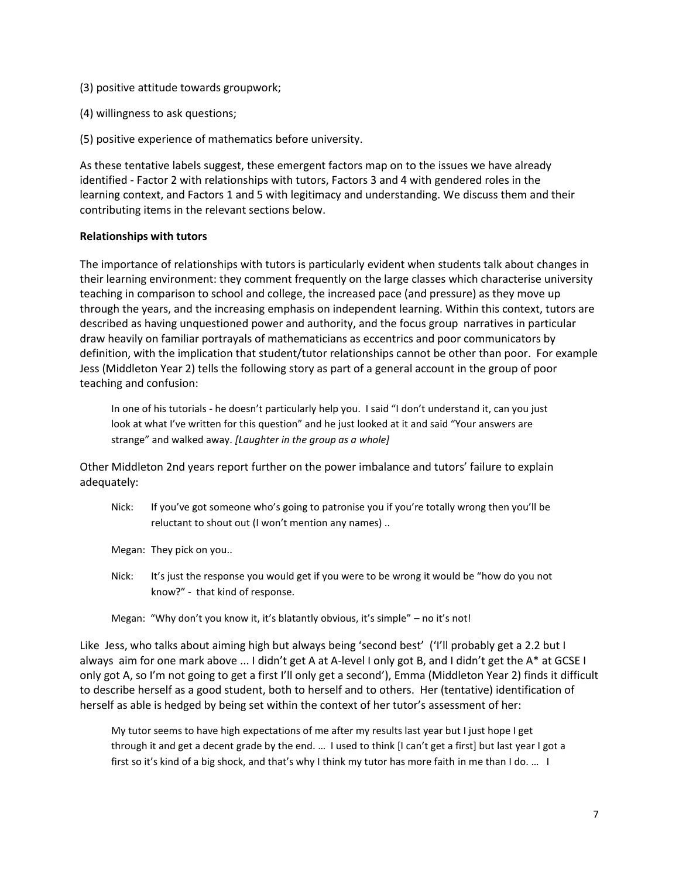- (3) positive attitude towards groupwork;
- (4) willingness to ask questions;
- (5) positive experience of mathematics before university.

As these tentative labels suggest, these emergent factors map on to the issues we have already identified - Factor 2 with relationships with tutors, Factors 3 and 4 with gendered roles in the learning context, and Factors 1 and 5 with legitimacy and understanding. We discuss them and their contributing items in the relevant sections below.

## **Relationships with tutors**

The importance of relationships with tutors is particularly evident when students talk about changes in their learning environment: they comment frequently on the large classes which characterise university teaching in comparison to school and college, the increased pace (and pressure) as they move up through the years, and the increasing emphasis on independent learning. Within this context, tutors are described as having unquestioned power and authority, and the focus group narratives in particular draw heavily on familiar portrayals of mathematicians as eccentrics and poor communicators by definition, with the implication that student/tutor relationships cannot be other than poor. For example Jess (Middleton Year 2) tells the following story as part of a general account in the group of poor teaching and confusion:

In one of his tutorials - he doesn't particularly help you. I said "I don't understand it, can you just look at what I've written for this question" and he just looked at it and said "Your answers are strange" and walked away. *[Laughter in the group as a whole]*

Other Middleton 2nd years report further on the power imbalance and tutors' failure to explain adequately:

Nick: If you've got someone who's going to patronise you if you're totally wrong then you'll be reluctant to shout out (I won't mention any names) ..

Megan: They pick on you..

Nick: It's just the response you would get if you were to be wrong it would be "how do you not know?" - that kind of response.

Megan: "Why don't you know it, it's blatantly obvious, it's simple" – no it's not!

Like Jess, who talks about aiming high but always being 'second best' ('I'll probably get a 2.2 but I always aim for one mark above ... I didn't get A at A-level I only got B, and I didn't get the A\* at GCSE I only got A, so I'm not going to get a first I'll only get a second'), Emma (Middleton Year 2) finds it difficult to describe herself as a good student, both to herself and to others. Her (tentative) identification of herself as able is hedged by being set within the context of her tutor's assessment of her:

My tutor seems to have high expectations of me after my results last year but I just hope I get through it and get a decent grade by the end. … I used to think [I can't get a first] but last year I got a first so it's kind of a big shock, and that's why I think my tutor has more faith in me than I do. ... I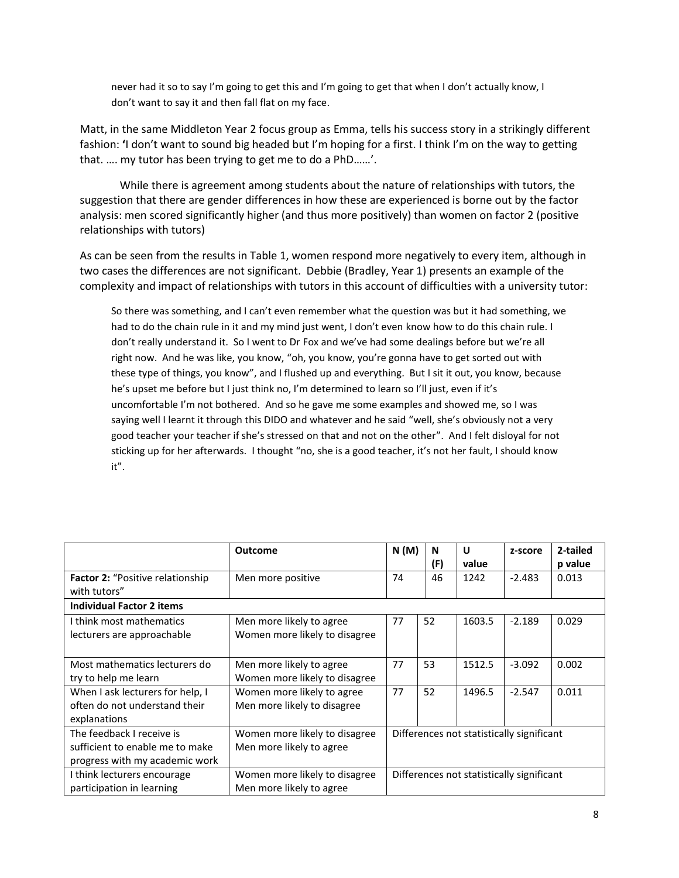never had it so to say I'm going to get this and I'm going to get that when I don't actually know, I don't want to say it and then fall flat on my face.

Matt, in the same Middleton Year 2 focus group as Emma, tells his success story in a strikingly different fashion: **'**I don't want to sound big headed but I'm hoping for a first. I think I'm on the way to getting that. …. my tutor has been trying to get me to do a PhD……'.

While there is agreement among students about the nature of relationships with tutors, the suggestion that there are gender differences in how these are experienced is borne out by the factor analysis: men scored significantly higher (and thus more positively) than women on factor 2 (positive relationships with tutors)

As can be seen from the results in Table 1, women respond more negatively to every item, although in two cases the differences are not significant. Debbie (Bradley, Year 1) presents an example of the complexity and impact of relationships with tutors in this account of difficulties with a university tutor:

So there was something, and I can't even remember what the question was but it had something, we had to do the chain rule in it and my mind just went, I don't even know how to do this chain rule. I don't really understand it. So I went to Dr Fox and we've had some dealings before but we're all right now. And he was like, you know, "oh, you know, you're gonna have to get sorted out with these type of things, you know", and I flushed up and everything. But I sit it out, you know, because he's upset me before but I just think no, I'm determined to learn so I'll just, even if it's uncomfortable I'm not bothered. And so he gave me some examples and showed me, so I was saying well I learnt it through this DIDO and whatever and he said "well, she's obviously not a very good teacher your teacher if she's stressed on that and not on the other". And I felt disloyal for not sticking up for her afterwards. I thought "no, she is a good teacher, it's not her fault, I should know it".

|                                                                                                | <b>Outcome</b>                                            | N(M)                                      | N<br>(F) | U<br>value | z-score  | 2-tailed<br>p value |
|------------------------------------------------------------------------------------------------|-----------------------------------------------------------|-------------------------------------------|----------|------------|----------|---------------------|
| <b>Factor 2: "Positive relationship"</b><br>with tutors"                                       | Men more positive                                         | 74                                        | 46       | 1242       | $-2.483$ | 0.013               |
| <b>Individual Factor 2 items</b>                                                               |                                                           |                                           |          |            |          |                     |
| I think most mathematics<br>lecturers are approachable                                         | Men more likely to agree<br>Women more likely to disagree | 77                                        | 52       | 1603.5     | $-2.189$ | 0.029               |
| Most mathematics lecturers do<br>try to help me learn                                          | Men more likely to agree<br>Women more likely to disagree | 77                                        | 53       | 1512.5     | $-3.092$ | 0.002               |
| When I ask lecturers for help, I<br>often do not understand their<br>explanations              | Women more likely to agree<br>Men more likely to disagree | 77                                        | 52       | 1496.5     | $-2.547$ | 0.011               |
| The feedback I receive is<br>sufficient to enable me to make<br>progress with my academic work | Women more likely to disagree<br>Men more likely to agree | Differences not statistically significant |          |            |          |                     |
| I think lecturers encourage<br>participation in learning                                       | Women more likely to disagree<br>Men more likely to agree | Differences not statistically significant |          |            |          |                     |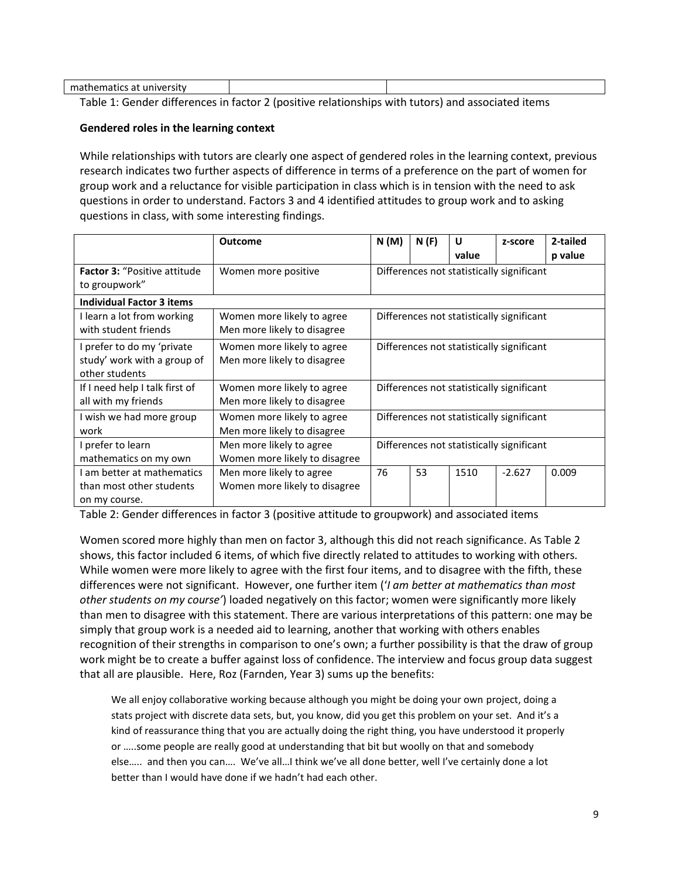| $\sim$ |  |  |  |  |
|--------|--|--|--|--|
|        |  |  |  |  |

Table 1: Gender differences in factor 2 (positive relationships with tutors) and associated items

# **Gendered roles in the learning context**

While relationships with tutors are clearly one aspect of gendered roles in the learning context, previous research indicates two further aspects of difference in terms of a preference on the part of women for group work and a reluctance for visible participation in class which is in tension with the need to ask questions in order to understand. Factors 3 and 4 identified attitudes to group work and to asking questions in class, with some interesting findings.

|                                                                             | <b>Outcome</b>                                            | N(M)                                      | N(F) | U<br>value | z-score  | 2-tailed<br>p value |  |
|-----------------------------------------------------------------------------|-----------------------------------------------------------|-------------------------------------------|------|------------|----------|---------------------|--|
| <b>Factor 3: "Positive attitude</b><br>to groupwork"                        | Women more positive                                       | Differences not statistically significant |      |            |          |                     |  |
| <b>Individual Factor 3 items</b>                                            |                                                           |                                           |      |            |          |                     |  |
| I learn a lot from working<br>with student friends                          | Women more likely to agree<br>Men more likely to disagree | Differences not statistically significant |      |            |          |                     |  |
| I prefer to do my 'private<br>study' work with a group of<br>other students | Women more likely to agree<br>Men more likely to disagree | Differences not statistically significant |      |            |          |                     |  |
| If I need help I talk first of<br>all with my friends                       | Women more likely to agree<br>Men more likely to disagree | Differences not statistically significant |      |            |          |                     |  |
| I wish we had more group<br>work                                            | Women more likely to agree<br>Men more likely to disagree | Differences not statistically significant |      |            |          |                     |  |
| I prefer to learn<br>mathematics on my own                                  | Men more likely to agree<br>Women more likely to disagree | Differences not statistically significant |      |            |          |                     |  |
| I am better at mathematics<br>than most other students<br>on my course.     | Men more likely to agree<br>Women more likely to disagree | 76                                        | 53   | 1510       | $-2.627$ | 0.009               |  |

Table 2: Gender differences in factor 3 (positive attitude to groupwork) and associated items

Women scored more highly than men on factor 3, although this did not reach significance. As Table 2 shows, this factor included 6 items, of which five directly related to attitudes to working with others*.* While women were more likely to agree with the first four items, and to disagree with the fifth, these differences were not significant. However, one further item ('*I am better at mathematics than most other students on my course'*) loaded negatively on this factor; women were significantly more likely than men to disagree with this statement. There are various interpretations of this pattern: one may be simply that group work is a needed aid to learning, another that working with others enables recognition of their strengths in comparison to one's own; a further possibility is that the draw of group work might be to create a buffer against loss of confidence. The interview and focus group data suggest that all are plausible. Here, Roz (Farnden, Year 3) sums up the benefits:

We all enjoy collaborative working because although you might be doing your own project, doing a stats project with discrete data sets, but, you know, did you get this problem on your set. And it's a kind of reassurance thing that you are actually doing the right thing, you have understood it properly or …..some people are really good at understanding that bit but woolly on that and somebody else….. and then you can…. We've all…I think we've all done better, well I've certainly done a lot better than I would have done if we hadn't had each other.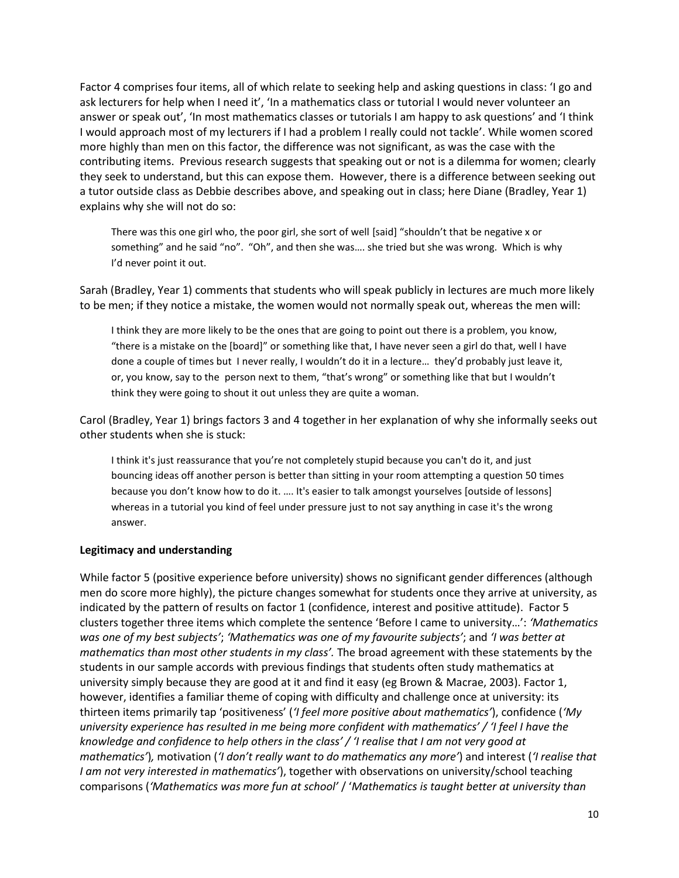Factor 4 comprises four items, all of which relate to seeking help and asking questions in class: 'I go and ask lecturers for help when I need it', 'In a mathematics class or tutorial I would never volunteer an answer or speak out', 'In most mathematics classes or tutorials I am happy to ask questions' and 'I think I would approach most of my lecturers if I had a problem I really could not tackle'. While women scored more highly than men on this factor, the difference was not significant, as was the case with the contributing items. Previous research suggests that speaking out or not is a dilemma for women; clearly they seek to understand, but this can expose them. However, there is a difference between seeking out a tutor outside class as Debbie describes above, and speaking out in class; here Diane (Bradley, Year 1) explains why she will not do so:

There was this one girl who, the poor girl, she sort of well [said] "shouldn't that be negative x or something" and he said "no". "Oh", and then she was…. she tried but she was wrong. Which is why I'd never point it out.

Sarah (Bradley, Year 1) comments that students who will speak publicly in lectures are much more likely to be men; if they notice a mistake, the women would not normally speak out, whereas the men will:

I think they are more likely to be the ones that are going to point out there is a problem, you know, "there is a mistake on the [board]" or something like that, I have never seen a girl do that, well I have done a couple of times but I never really, I wouldn't do it in a lecture… they'd probably just leave it, or, you know, say to the person next to them, "that's wrong" or something like that but I wouldn't think they were going to shout it out unless they are quite a woman.

Carol (Bradley, Year 1) brings factors 3 and 4 together in her explanation of why she informally seeks out other students when she is stuck:

I think it's just reassurance that you're not completely stupid because you can't do it, and just bouncing ideas off another person is better than sitting in your room attempting a question 50 times because you don't know how to do it. …. It's easier to talk amongst yourselves [outside of lessons] whereas in a tutorial you kind of feel under pressure just to not say anything in case it's the wrong answer.

#### **Legitimacy and understanding**

While factor 5 (positive experience before university) shows no significant gender differences (although men do score more highly), the picture changes somewhat for students once they arrive at university, as indicated by the pattern of results on factor 1 (confidence, interest and positive attitude). Factor 5 clusters together three items which complete the sentence 'Before I came to university…': *'Mathematics was one of my best subjects'*; *'Mathematics was one of my favourite subjects'*; and *'I was better at mathematics than most other students in my class'.* The broad agreement with these statements by the students in our sample accords with previous findings that students often study mathematics at university simply because they are good at it and find it easy (eg Brown & Macrae, 2003). Factor 1, however, identifies a familiar theme of coping with difficulty and challenge once at university: its thirteen items primarily tap 'positiveness' (*'I feel more positive about mathematics'*), confidence (*'My university experience has resulted in me being more confident with mathematics' / 'I feel I have the knowledge and confidence to help others in the class' / 'I realise that I am not very good at mathematics'*)*,* motivation (*'I don't really want to do mathematics any more'*) and interest (*'I realise that I am not very interested in mathematics'*), together with observations on university/school teaching comparisons (*'Mathematics was more fun at school'* / '*Mathematics is taught better at university than*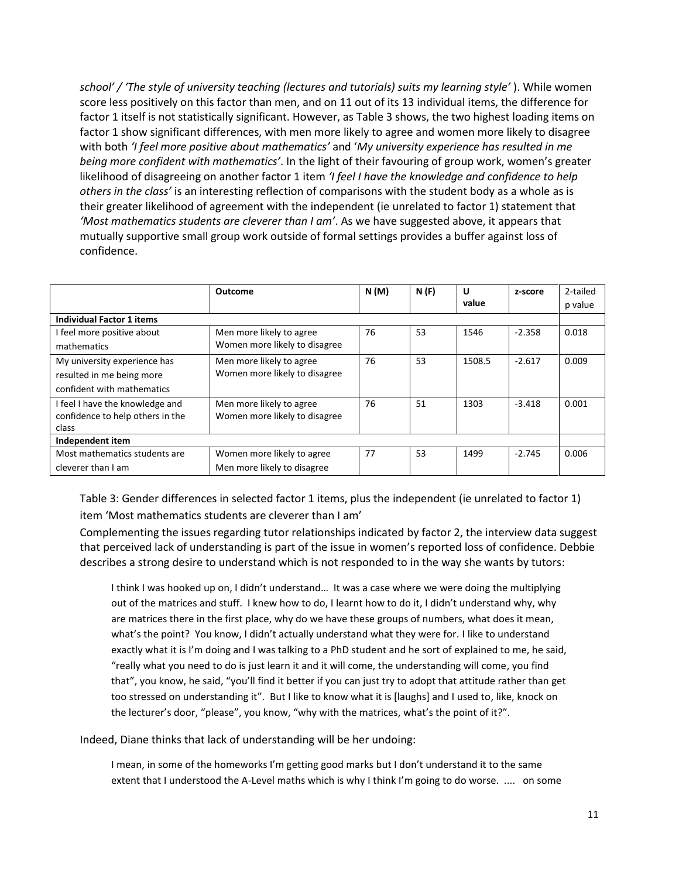*school' / 'The style of university teaching (lectures and tutorials) suits my learning style'* ). While women score less positively on this factor than men, and on 11 out of its 13 individual items, the difference for factor 1 itself is not statistically significant. However, as Table 3 shows, the two highest loading items on factor 1 show significant differences, with men more likely to agree and women more likely to disagree with both *'I feel more positive about mathematics'* and '*My university experience has resulted in me being more confident with mathematics'*. In the light of their favouring of group work, women's greater likelihood of disagreeing on another factor 1 item *'I feel I have the knowledge and confidence to help others in the class'* is an interesting reflection of comparisons with the student body as a whole as is their greater likelihood of agreement with the independent (ie unrelated to factor 1) statement that *'Most mathematics students are cleverer than I am'*. As we have suggested above, it appears that mutually supportive small group work outside of formal settings provides a buffer against loss of confidence.

|                                  | <b>Outcome</b>                | N (M) | N (F) | u      | z-score  | 2-tailed |
|----------------------------------|-------------------------------|-------|-------|--------|----------|----------|
|                                  |                               |       |       | value  |          | p value  |
| <b>Individual Factor 1 items</b> |                               |       |       |        |          |          |
| I feel more positive about       | Men more likely to agree      | 76    | 53    | 1546   | $-2.358$ | 0.018    |
| mathematics                      | Women more likely to disagree |       |       |        |          |          |
| My university experience has     | Men more likely to agree      | 76    | 53    | 1508.5 | $-2.617$ | 0.009    |
| resulted in me being more        | Women more likely to disagree |       |       |        |          |          |
| confident with mathematics       |                               |       |       |        |          |          |
| I feel I have the knowledge and  | Men more likely to agree      | 76    | 51    | 1303   | $-3.418$ | 0.001    |
| confidence to help others in the | Women more likely to disagree |       |       |        |          |          |
| class                            |                               |       |       |        |          |          |
| Independent item                 |                               |       |       |        |          |          |
| Most mathematics students are    | Women more likely to agree    | 77    | 53    | 1499   | $-2.745$ | 0.006    |
| cleverer than I am               | Men more likely to disagree   |       |       |        |          |          |

Table 3: Gender differences in selected factor 1 items, plus the independent (ie unrelated to factor 1) item 'Most mathematics students are cleverer than I am'

Complementing the issues regarding tutor relationships indicated by factor 2, the interview data suggest that perceived lack of understanding is part of the issue in women's reported loss of confidence. Debbie describes a strong desire to understand which is not responded to in the way she wants by tutors:

I think I was hooked up on, I didn't understand… It was a case where we were doing the multiplying out of the matrices and stuff. I knew how to do, I learnt how to do it, I didn't understand why, why are matrices there in the first place, why do we have these groups of numbers, what does it mean, what's the point? You know, I didn't actually understand what they were for. I like to understand exactly what it is I'm doing and I was talking to a PhD student and he sort of explained to me, he said, "really what you need to do is just learn it and it will come, the understanding will come, you find that", you know, he said, "you'll find it better if you can just try to adopt that attitude rather than get too stressed on understanding it". But I like to know what it is [laughs] and I used to, like, knock on the lecturer's door, "please", you know, "why with the matrices, what's the point of it?".

Indeed, Diane thinks that lack of understanding will be her undoing:

I mean, in some of the homeworks I'm getting good marks but I don't understand it to the same extent that I understood the A-Level maths which is why I think I'm going to do worse. .... on some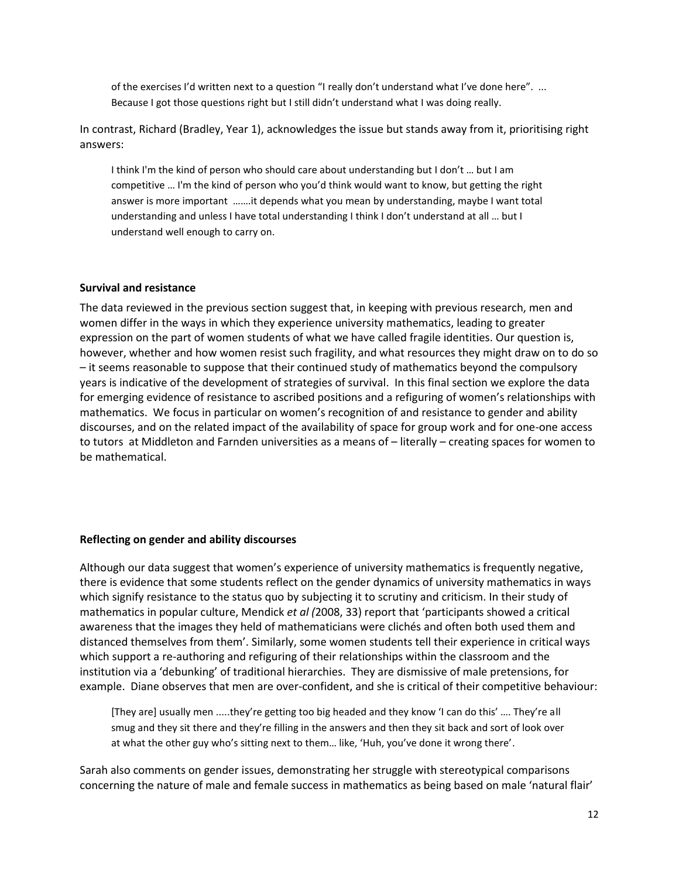of the exercises I'd written next to a question "I really don't understand what I've done here". ... Because I got those questions right but I still didn't understand what I was doing really.

In contrast, Richard (Bradley, Year 1), acknowledges the issue but stands away from it, prioritising right answers:

I think I'm the kind of person who should care about understanding but I don't … but I am competitive … I'm the kind of person who you'd think would want to know, but getting the right answer is more important …….it depends what you mean by understanding, maybe I want total understanding and unless I have total understanding I think I don't understand at all … but I understand well enough to carry on.

## **Survival and resistance**

The data reviewed in the previous section suggest that, in keeping with previous research, men and women differ in the ways in which they experience university mathematics, leading to greater expression on the part of women students of what we have called fragile identities. Our question is, however, whether and how women resist such fragility, and what resources they might draw on to do so – it seems reasonable to suppose that their continued study of mathematics beyond the compulsory years is indicative of the development of strategies of survival. In this final section we explore the data for emerging evidence of resistance to ascribed positions and a refiguring of women's relationships with mathematics. We focus in particular on women's recognition of and resistance to gender and ability discourses, and on the related impact of the availability of space for group work and for one-one access to tutors at Middleton and Farnden universities as a means of – literally – creating spaces for women to be mathematical.

# **Reflecting on gender and ability discourses**

Although our data suggest that women's experience of university mathematics is frequently negative, there is evidence that some students reflect on the gender dynamics of university mathematics in ways which signify resistance to the status quo by subjecting it to scrutiny and criticism. In their study of mathematics in popular culture, Mendick *et al (*2008, 33) report that 'participants showed a critical awareness that the images they held of mathematicians were clichés and often both used them and distanced themselves from them'. Similarly, some women students tell their experience in critical ways which support a re-authoring and refiguring of their relationships within the classroom and the institution via a 'debunking' of traditional hierarchies. They are dismissive of male pretensions, for example. Diane observes that men are over-confident, and she is critical of their competitive behaviour:

[They are] usually men .....they're getting too big headed and they know 'I can do this' …. They're all smug and they sit there and they're filling in the answers and then they sit back and sort of look over at what the other guy who's sitting next to them… like, 'Huh, you've done it wrong there'.

Sarah also comments on gender issues, demonstrating her struggle with stereotypical comparisons concerning the nature of male and female success in mathematics as being based on male 'natural flair'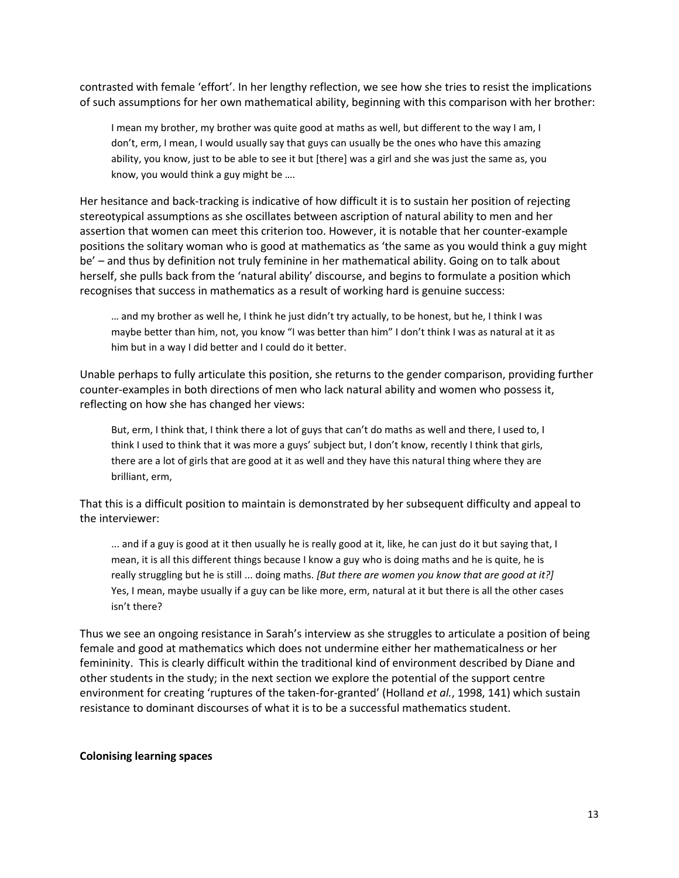contrasted with female 'effort'. In her lengthy reflection, we see how she tries to resist the implications of such assumptions for her own mathematical ability, beginning with this comparison with her brother:

I mean my brother, my brother was quite good at maths as well, but different to the way I am, I don't, erm, I mean, I would usually say that guys can usually be the ones who have this amazing ability, you know, just to be able to see it but [there] was a girl and she was just the same as, you know, you would think a guy might be ….

Her hesitance and back-tracking is indicative of how difficult it is to sustain her position of rejecting stereotypical assumptions as she oscillates between ascription of natural ability to men and her assertion that women can meet this criterion too. However, it is notable that her counter-example positions the solitary woman who is good at mathematics as 'the same as you would think a guy might be' – and thus by definition not truly feminine in her mathematical ability. Going on to talk about herself, she pulls back from the 'natural ability' discourse, and begins to formulate a position which recognises that success in mathematics as a result of working hard is genuine success:

… and my brother as well he, I think he just didn't try actually, to be honest, but he, I think I was maybe better than him, not, you know "I was better than him" I don't think I was as natural at it as him but in a way I did better and I could do it better.

Unable perhaps to fully articulate this position, she returns to the gender comparison, providing further counter-examples in both directions of men who lack natural ability and women who possess it, reflecting on how she has changed her views:

But, erm, I think that, I think there a lot of guys that can't do maths as well and there, I used to, I think I used to think that it was more a guys' subject but, I don't know, recently I think that girls, there are a lot of girls that are good at it as well and they have this natural thing where they are brilliant, erm,

That this is a difficult position to maintain is demonstrated by her subsequent difficulty and appeal to the interviewer:

... and if a guy is good at it then usually he is really good at it, like, he can just do it but saying that, I mean, it is all this different things because I know a guy who is doing maths and he is quite, he is really struggling but he is still ... doing maths. *[But there are women you know that are good at it?]* Yes, I mean, maybe usually if a guy can be like more, erm, natural at it but there is all the other cases isn't there?

Thus we see an ongoing resistance in Sarah's interview as she struggles to articulate a position of being female and good at mathematics which does not undermine either her mathematicalness or her femininity. This is clearly difficult within the traditional kind of environment described by Diane and other students in the study; in the next section we explore the potential of the support centre environment for creating 'ruptures of the taken-for-granted' (Holland *et al.*, 1998, 141) which sustain resistance to dominant discourses of what it is to be a successful mathematics student.

#### **Colonising learning spaces**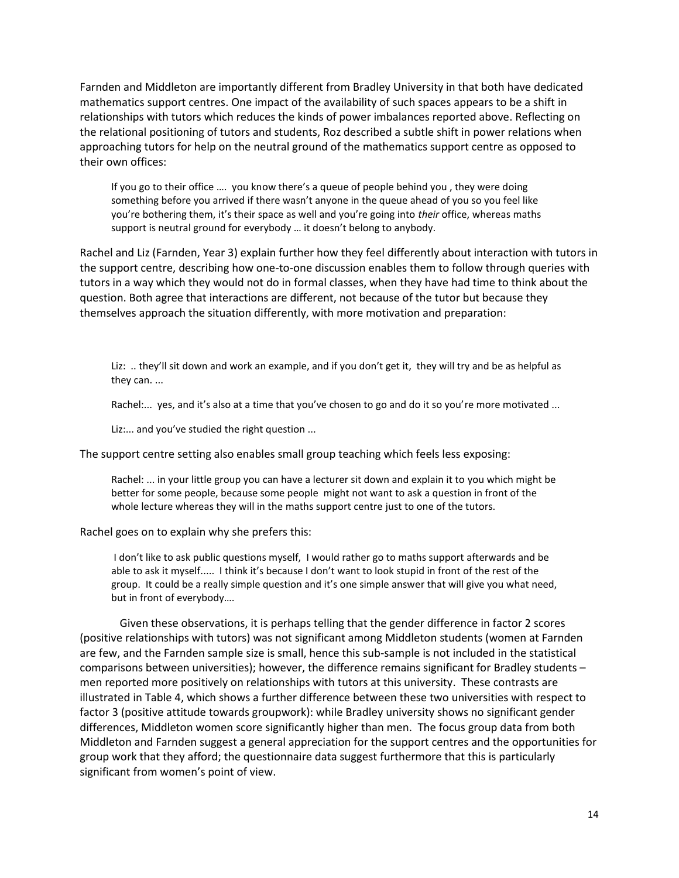Farnden and Middleton are importantly different from Bradley University in that both have dedicated mathematics support centres. One impact of the availability of such spaces appears to be a shift in relationships with tutors which reduces the kinds of power imbalances reported above. Reflecting on the relational positioning of tutors and students, Roz described a subtle shift in power relations when approaching tutors for help on the neutral ground of the mathematics support centre as opposed to their own offices:

If you go to their office …. you know there's a queue of people behind you , they were doing something before you arrived if there wasn't anyone in the queue ahead of you so you feel like you're bothering them, it's their space as well and you're going into *their* office, whereas maths support is neutral ground for everybody … it doesn't belong to anybody.

Rachel and Liz (Farnden, Year 3) explain further how they feel differently about interaction with tutors in the support centre, describing how one-to-one discussion enables them to follow through queries with tutors in a way which they would not do in formal classes, when they have had time to think about the question. Both agree that interactions are different, not because of the tutor but because they themselves approach the situation differently, with more motivation and preparation:

Liz: .. they'll sit down and work an example, and if you don't get it, they will try and be as helpful as they can. ...

Rachel:... yes, and it's also at a time that you've chosen to go and do it so you're more motivated ...

Liz:... and you've studied the right question ...

The support centre setting also enables small group teaching which feels less exposing:

Rachel: ... in your little group you can have a lecturer sit down and explain it to you which might be better for some people, because some people might not want to ask a question in front of the whole lecture whereas they will in the maths support centre just to one of the tutors.

Rachel goes on to explain why she prefers this:

I don't like to ask public questions myself, I would rather go to maths support afterwards and be able to ask it myself..... I think it's because I don't want to look stupid in front of the rest of the group. It could be a really simple question and it's one simple answer that will give you what need, but in front of everybody….

Given these observations, it is perhaps telling that the gender difference in factor 2 scores (positive relationships with tutors) was not significant among Middleton students (women at Farnden are few, and the Farnden sample size is small, hence this sub-sample is not included in the statistical comparisons between universities); however, the difference remains significant for Bradley students – men reported more positively on relationships with tutors at this university. These contrasts are illustrated in Table 4, which shows a further difference between these two universities with respect to factor 3 (positive attitude towards groupwork): while Bradley university shows no significant gender differences, Middleton women score significantly higher than men. The focus group data from both Middleton and Farnden suggest a general appreciation for the support centres and the opportunities for group work that they afford; the questionnaire data suggest furthermore that this is particularly significant from women's point of view.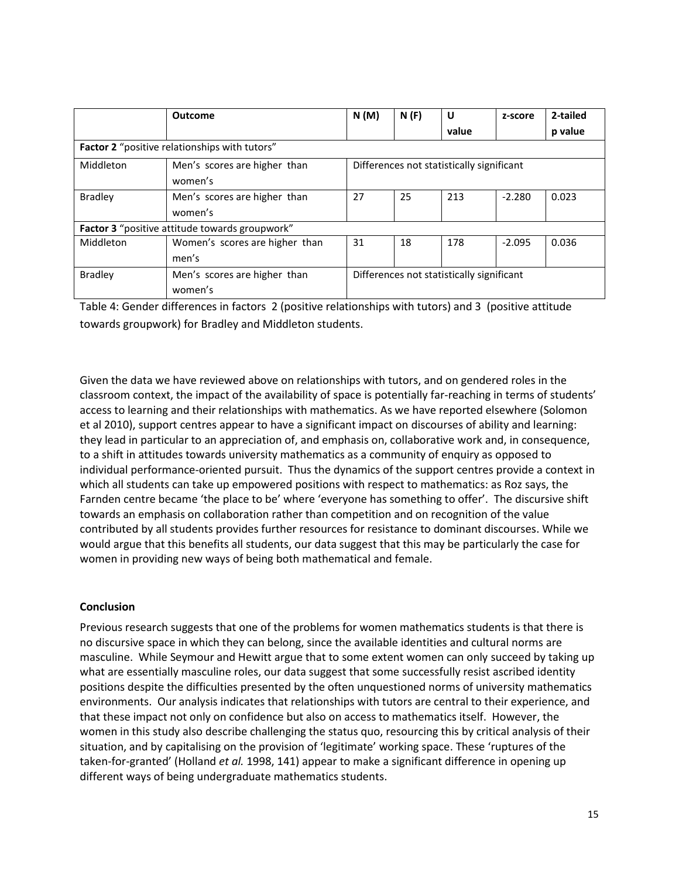|                                                       | <b>Outcome</b>                                       | N(M)                                      | N(f) | U     | z-score  | 2-tailed |
|-------------------------------------------------------|------------------------------------------------------|-------------------------------------------|------|-------|----------|----------|
|                                                       |                                                      |                                           |      | value |          | p value  |
|                                                       | <b>Factor 2</b> "positive relationships with tutors" |                                           |      |       |          |          |
| Middleton                                             | Men's scores are higher than<br>women's              | Differences not statistically significant |      |       |          |          |
| <b>Bradley</b>                                        | Men's scores are higher than<br>women's              | 27                                        | 25   | 213   | $-2.280$ | 0.023    |
| <b>Factor 3</b> "positive attitude towards groupwork" |                                                      |                                           |      |       |          |          |
| Middleton                                             | Women's scores are higher than<br>men's              | 31                                        | 18   | 178   | $-2.095$ | 0.036    |
| Bradley                                               | Men's scores are higher than<br>women's              | Differences not statistically significant |      |       |          |          |

Table 4: Gender differences in factors 2 (positive relationships with tutors) and 3 (positive attitude towards groupwork) for Bradley and Middleton students.

Given the data we have reviewed above on relationships with tutors, and on gendered roles in the classroom context, the impact of the availability of space is potentially far-reaching in terms of students' access to learning and their relationships with mathematics. As we have reported elsewhere (Solomon et al 2010), support centres appear to have a significant impact on discourses of ability and learning: they lead in particular to an appreciation of, and emphasis on, collaborative work and, in consequence, to a shift in attitudes towards university mathematics as a community of enquiry as opposed to individual performance-oriented pursuit. Thus the dynamics of the support centres provide a context in which all students can take up empowered positions with respect to mathematics: as Roz says, the Farnden centre became 'the place to be' where 'everyone has something to offer'. The discursive shift towards an emphasis on collaboration rather than competition and on recognition of the value contributed by all students provides further resources for resistance to dominant discourses. While we would argue that this benefits all students, our data suggest that this may be particularly the case for women in providing new ways of being both mathematical and female.

#### **Conclusion**

Previous research suggests that one of the problems for women mathematics students is that there is no discursive space in which they can belong, since the available identities and cultural norms are masculine. While Seymour and Hewitt argue that to some extent women can only succeed by taking up what are essentially masculine roles, our data suggest that some successfully resist ascribed identity positions despite the difficulties presented by the often unquestioned norms of university mathematics environments. Our analysis indicates that relationships with tutors are central to their experience, and that these impact not only on confidence but also on access to mathematics itself. However, the women in this study also describe challenging the status quo, resourcing this by critical analysis of their situation, and by capitalising on the provision of 'legitimate' working space. These 'ruptures of the taken-for-granted' (Holland *et al.* 1998, 141) appear to make a significant difference in opening up different ways of being undergraduate mathematics students.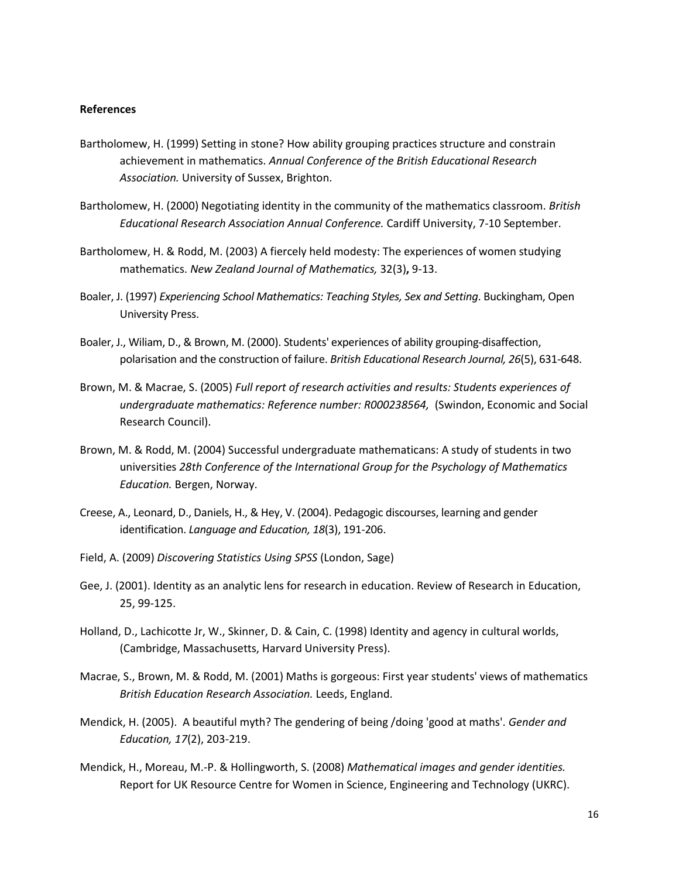#### **References**

- Bartholomew, H. (1999) Setting in stone? How ability grouping practices structure and constrain achievement in mathematics. *Annual Conference of the British Educational Research Association.* University of Sussex, Brighton.
- Bartholomew, H. (2000) Negotiating identity in the community of the mathematics classroom. *British Educational Research Association Annual Conference.* Cardiff University, 7-10 September.
- Bartholomew, H. & Rodd, M. (2003) A fiercely held modesty: The experiences of women studying mathematics. *New Zealand Journal of Mathematics,* 32(3)**,** 9-13.
- Boaler, J. (1997) *Experiencing School Mathematics: Teaching Styles, Sex and Setting*. Buckingham, Open University Press.
- Boaler, J., Wiliam, D., & Brown, M. (2000). Students' experiences of ability grouping-disaffection, polarisation and the construction of failure. *British Educational Research Journal, 26*(5), 631-648.
- Brown, M. & Macrae, S. (2005) *Full report of research activities and results: Students experiences of undergraduate mathematics: Reference number: R000238564,* (Swindon, Economic and Social Research Council).
- Brown, M. & Rodd, M. (2004) Successful undergraduate mathematicans: A study of students in two universities *28th Conference of the International Group for the Psychology of Mathematics Education.* Bergen, Norway.
- Creese, A., Leonard, D., Daniels, H., & Hey, V. (2004). Pedagogic discourses, learning and gender identification. *Language and Education, 18*(3), 191-206.
- Field, A. (2009) *Discovering Statistics Using SPSS* (London, Sage)
- Gee, J. (2001). Identity as an analytic lens for research in education. Review of Research in Education, 25, 99-125.
- Holland, D., Lachicotte Jr, W., Skinner, D. & Cain, C. (1998) Identity and agency in cultural worlds, (Cambridge, Massachusetts, Harvard University Press).
- Macrae, S., Brown, M. & Rodd, M. (2001) Maths is gorgeous: First year students' views of mathematics *British Education Research Association.* Leeds, England.
- Mendick, H. (2005). A beautiful myth? The gendering of being /doing 'good at maths'. *Gender and Education, 17*(2), 203-219.
- Mendick, H., Moreau, M.-P. & Hollingworth, S. (2008) *Mathematical images and gender identities.* Report for UK Resource Centre for Women in Science, Engineering and Technology (UKRC).